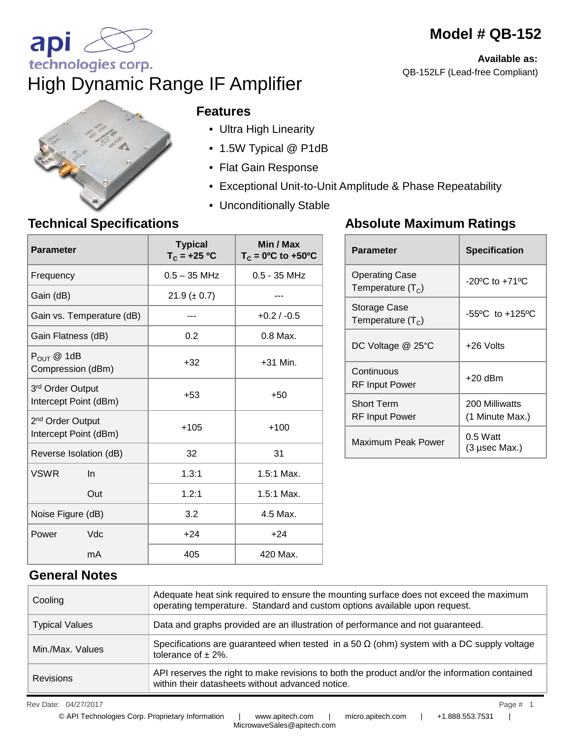# **Model # QB-152**

**Available as:**  QB-152LF (Lead-free Compliant)



technologies corp.

api

#### **Features**

High Dynamic Range IF Amplifier

- Ultra High Linearity
- 1.5W Typical @ P1dB
- Flat Gain Response
- Exceptional Unit-to-Unit Amplitude & Phase Repeatability
- Unconditionally Stable

### **Technical Specifications**

| <b>Parameter</b>                                      | <b>Typical</b><br>$T_c = +25 °C$ | Min / Max<br>$T_c = 0$ <sup>o</sup> C to +50 <sup>o</sup> C |
|-------------------------------------------------------|----------------------------------|-------------------------------------------------------------|
| Frequency                                             | $0.5 - 35$ MHz                   | $0.5 - 35$ MHz                                              |
| Gain (dB)                                             | $21.9 (\pm 0.7)$                 |                                                             |
| Gain vs. Temperature (dB)                             |                                  | $+0.2 / -0.5$                                               |
| Gain Flatness (dB)                                    | 0.2                              | $0.8$ Max.                                                  |
| $P_{OUT}$ @ 1dB<br>Compression (dBm)                  | $+32$                            | $+31$ Min.                                                  |
| 3rd Order Output<br>Intercept Point (dBm)             | $+53$                            | $+50$                                                       |
| 2 <sup>nd</sup> Order Output<br>Intercept Point (dBm) | $+105$                           | $+100$                                                      |
| Reverse Isolation (dB)                                | 32                               | 31                                                          |
| <b>VSWR</b><br>$\ln$                                  | 1.3:1                            | 1.5:1 Max.                                                  |
| Out                                                   | 1.2:1                            | 1.5:1 Max.                                                  |
| Noise Figure (dB)                                     | 3.2                              | 4.5 Max.                                                    |
| Vdc<br>Power                                          | $+24$                            | $+24$                                                       |
| mA                                                    | 405                              | 420 Max.                                                    |

### **Absolute Maximum Ratings**

| <b>Parameter</b>                      | <b>Specification</b>               |  |
|---------------------------------------|------------------------------------|--|
| Operating Case<br>Temperature $(T_c)$ | $-20^{\circ}$ C to $+71^{\circ}$ C |  |
| Storage Case<br>Temperature $(T_c)$   | -55°C to +125°C                    |  |
| DC Voltage @ 25°C                     | +26 Volts                          |  |
| Continuous<br>RF Input Power          | $+20$ dBm                          |  |
| <b>Short Term</b><br>RF Input Power   | 200 Milliwatts<br>(1 Minute Max.)  |  |
| Maximum Peak Power                    | $0.5$ Watt<br>(3 µsec Max.)        |  |

### **General Notes**

| Cooling               | Adequate heat sink required to ensure the mounting surface does not exceed the maximum<br>operating temperature. Standard and custom options available upon request. |
|-----------------------|----------------------------------------------------------------------------------------------------------------------------------------------------------------------|
| <b>Typical Values</b> | Data and graphs provided are an illustration of performance and not guaranteed.                                                                                      |
| Min./Max. Values      | Specifications are guaranteed when tested in a 50 $\Omega$ (ohm) system with a DC supply voltage<br>tolerance of $\pm$ 2%.                                           |
| <b>Revisions</b>      | API reserves the right to make revisions to both the product and/or the information contained<br>within their datasheets without advanced notice.                    |

Rev Date: 04/27/2017 Page # 1 04/27/2017 1

© API Technologies Corp. Proprietary Information | www.apitech.com | micro.apitech.com | +1.888.553.7531 |

MicrowaveSales@apitech.com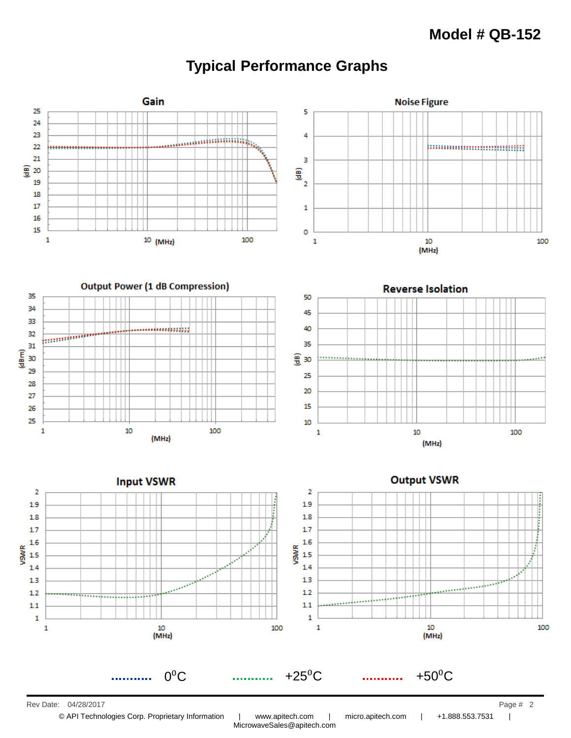## **Typical Performance Graphs**



MicrowaveSales@apitech.com